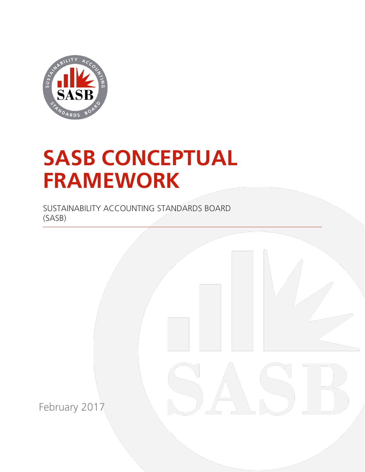

# **SASB CONCEPTUAL FRAMEWORK**

SUSTAINABILITY ACCOUNTING STANDARDS BOARD (SASB)

February 2017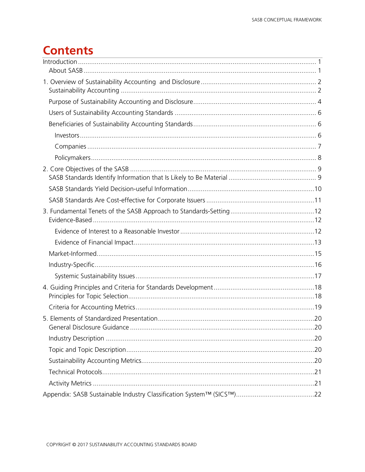# **Contents**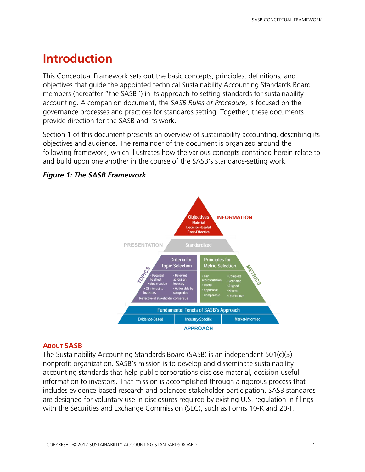# <span id="page-2-0"></span>**Introduction**

This Conceptual Framework sets out the basic concepts, principles, definitions, and objectives that guide the appointed technical Sustainability Accounting Standards Board members (hereafter "the SASB") in its approach to setting standards for sustainability accounting. A companion document, the *SASB Rules of Procedure*, is focused on the governance processes and practices for standards setting. Together, these documents provide direction for the SASB and its work.

Section 1 of this document presents an overview of sustainability accounting, describing its objectives and audience. The remainder of the document is organized around the following framework, which illustrates how the various concepts contained herein relate to and build upon one another in the course of the SASB's standards-setting work.



# *Figure 1: The SASB Framework*

# <span id="page-2-1"></span>**ABOUT SASB**

The Sustainability Accounting Standards Board (SASB) is an independent 501(c)(3) nonprofit organization. SASB's mission is to develop and disseminate sustainability accounting standards that help public corporations disclose material, decision-useful information to investors. That mission is accomplished through a rigorous process that includes evidence-based research and balanced stakeholder participation. SASB standards are designed for voluntary use in disclosures required by existing U.S. regulation in filings with the Securities and Exchange Commission (SEC), such as Forms 10-K and 20-F.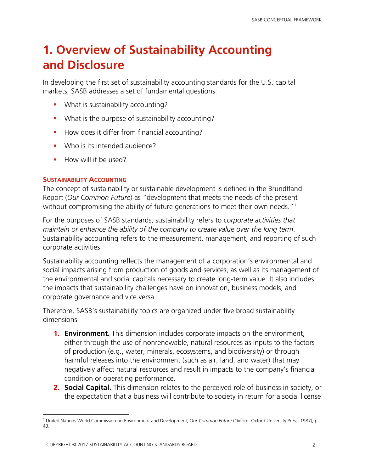# <span id="page-3-0"></span>**1. Overview of Sustainability Accounting and Disclosure**

In developing the first set of sustainability accounting standards for the U.S. capital markets, SASB addresses a set of fundamental questions:

- **•** What is sustainability accounting?
- **What is the purpose of sustainability accounting?**
- How does it differ from financial accounting?
- **Who is its intended audience?**
- **How will it be used?**

# <span id="page-3-1"></span>**SUSTAINABILITY ACCOUNTING**

The concept of sustainability or sustainable development is defined in the Brundtland Report (*Our Common Future*) as "development that meets the needs of the present without compromising the ability of future generations to meet their own needs."<sup>[1](#page-3-2)</sup>

For the purposes of SASB standards, sustainability refers to *corporate activities that maintain or enhance the ability of the company to create value over the long term*. Sustainability accounting refers to the measurement, management, and reporting of such corporate activities.

Sustainability accounting reflects the management of a corporation's environmental and social impacts arising from production of goods and services, as well as its management of the environmental and social capitals necessary to create long-term value. It also includes the impacts that sustainability challenges have on innovation, business models, and corporate governance and vice versa.

Therefore, SASB's sustainability topics are organized under five broad sustainability dimensions:

- **1. Environment.** This dimension includes corporate impacts on the environment, either through the use of nonrenewable, natural resources as inputs to the factors of production (e.g., water, minerals, ecosystems, and biodiversity) or through harmful releases into the environment (such as air, land, and water) that may negatively affect natural resources and result in impacts to the company's financial condition or operating performance.
- **2. Social Capital.** This dimension relates to the perceived role of business in society, or the expectation that a business will contribute to society in return for a social license

<span id="page-3-2"></span> $\overline{a}$ <sup>1</sup> United Nations World Commission on Environment and Development, *Our Common Future* (Oxford: Oxford University Press, 1987), p. 43.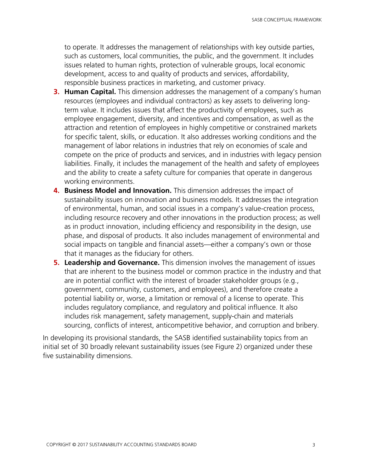to operate. It addresses the management of relationships with key outside parties, such as customers, local communities, the public, and the government. It includes issues related to human rights, protection of vulnerable groups, local economic development, access to and quality of products and services, affordability, responsible business practices in marketing, and customer privacy.

- **3. Human Capital.** This dimension addresses the management of a company's human resources (employees and individual contractors) as key assets to delivering longterm value. It includes issues that affect the productivity of employees, such as employee engagement, diversity, and incentives and compensation, as well as the attraction and retention of employees in highly competitive or constrained markets for specific talent, skills, or education. It also addresses working conditions and the management of labor relations in industries that rely on economies of scale and compete on the price of products and services, and in industries with legacy pension liabilities. Finally, it includes the management of the health and safety of employees and the ability to create a safety culture for companies that operate in dangerous working environments.
- **4. Business Model and Innovation.** This dimension addresses the impact of sustainability issues on innovation and business models. It addresses the integration of environmental, human, and social issues in a company's value-creation process, including resource recovery and other innovations in the production process; as well as in product innovation, including efficiency and responsibility in the design, use phase, and disposal of products. It also includes management of environmental and social impacts on tangible and financial assets—either a company's own or those that it manages as the fiduciary for others.
- **5. Leadership and Governance.** This dimension involves the management of issues that are inherent to the business model or common practice in the industry and that are in potential conflict with the interest of broader stakeholder groups (e.g., government, community, customers, and employees), and therefore create a potential liability or, worse, a limitation or removal of a license to operate. This includes regulatory compliance, and regulatory and political influence. It also includes risk management, safety management, supply-chain and materials sourcing, conflicts of interest, anticompetitive behavior, and corruption and bribery.

In developing its provisional standards, the SASB identified sustainability topics from an initial set of 30 broadly relevant sustainability issues (see Figure 2) organized under these five sustainability dimensions.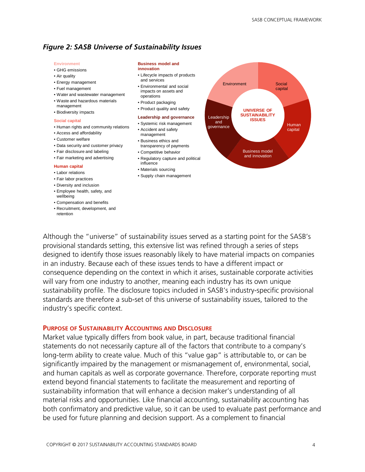### *Figure 2: SASB Universe of Sustainability Issues*

#### **Environment**

- GHG emissions
- Air quality
- Energy management
- Fuel management
- Water and wastewater management
- Waste and hazardous materials management
- Biodiversity impacts

#### **Social capital**

- Human rights and community relations
- Access and affordability
- Customer welfare
- Data security and customer privacy
- Fair disclosure and labeling
- Fair marketing and advertising

#### **Human capital**

- Labor relations
- Fair labor practices
- Diversity and inclusion
- Employee health, safety, and wellbeing
- Compensation and benefits
- Recruitment, development, and retention

#### **Business model and**

#### **innovation**

- Lifecycle impacts of products and services
- Environmental and social impacts on assets and operations
- Product packaging
- Product quality and safety

#### **Leadership and governance**

- Systemic risk management • Accident and safety management
- Business ethics and transparency of payments
- Competitive behavior
- Regulatory capture and political influence
- Materials sourcing
- Supply chain management



Although the "universe" of sustainability issues served as a starting point for the SASB's provisional standards setting, this extensive list was refined through a series of steps designed to identify those issues reasonably likely to have material impacts on companies in an industry. Because each of these issues tends to have a different impact or consequence depending on the context in which it arises, sustainable corporate activities will vary from one industry to another, meaning each industry has its own unique sustainability profile. The disclosure topics included in SASB's industry-specific provisional standards are therefore a sub-set of this universe of sustainability issues, tailored to the industry's specific context.

#### <span id="page-5-0"></span>**PURPOSE OF SUSTAINABILITY ACCOUNTING AND DISCLOSURE**

Market value typically differs from book value, in part, because traditional financial statements do not necessarily capture all of the factors that contribute to a company's long-term ability to create value. Much of this "value gap" is attributable to, or can be significantly impaired by the management or mismanagement of, environmental, social, and human capitals as well as corporate governance. Therefore, corporate reporting must extend beyond financial statements to facilitate the measurement and reporting of sustainability information that will enhance a decision maker's understanding of all material risks and opportunities. Like financial accounting, sustainability accounting has both confirmatory and predictive value, so it can be used to evaluate past performance and be used for future planning and decision support. As a complement to financial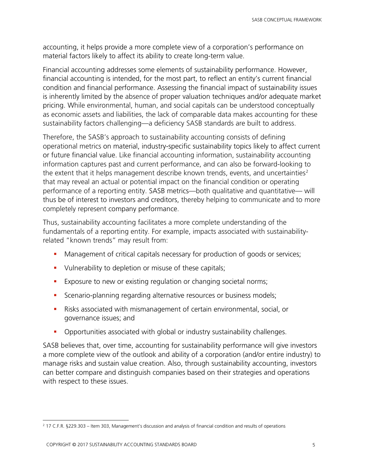accounting, it helps provide a more complete view of a corporation's performance on material factors likely to affect its ability to create long-term value.

Financial accounting addresses some elements of sustainability performance. However, financial accounting is intended, for the most part, to reflect an entity's current financial condition and financial performance. Assessing the financial impact of sustainability issues is inherently limited by the absence of proper valuation techniques and/or adequate market pricing. While environmental, human, and social capitals can be understood conceptually as economic assets and liabilities, the lack of comparable data makes accounting for these sustainability factors challenging—a deficiency SASB standards are built to address.

Therefore, the SASB's approach to sustainability accounting consists of defining operational metrics on material, industry-specific sustainability topics likely to affect current or future financial value. Like financial accounting information, sustainability accounting information captures past and current performance, and can also be forward-looking to the extent that it helps management describe known trends, events, and uncertainties<sup>[2](#page-6-0)</sup> that may reveal an actual or potential impact on the financial condition or operating performance of a reporting entity. SASB metrics—both qualitative and quantitative— will thus be of interest to investors and creditors, thereby helping to communicate and to more completely represent company performance.

Thus, sustainability accounting facilitates a more complete understanding of the fundamentals of a reporting entity. For example, impacts associated with sustainabilityrelated "known trends" may result from:

- **Management of critical capitals necessary for production of goods or services;**
- Uulnerability to depletion or misuse of these capitals;
- **Exposure to new or existing regulation or changing societal norms;**
- **Scenario-planning regarding alternative resources or business models;**
- Risks associated with mismanagement of certain environmental, social, or governance issues; and
- Opportunities associated with global or industry sustainability challenges.

SASB believes that, over time, accounting for sustainability performance will give investors a more complete view of the outlook and ability of a corporation (and/or entire industry) to manage risks and sustain value creation. Also, through sustainability accounting, investors can better compare and distinguish companies based on their strategies and operations with respect to these issues.

<span id="page-6-0"></span> $\overline{a}$ <sup>2</sup> 17 C.F.R. §229.303 – Item 303, Management's discussion and analysis of financial condition and results of operations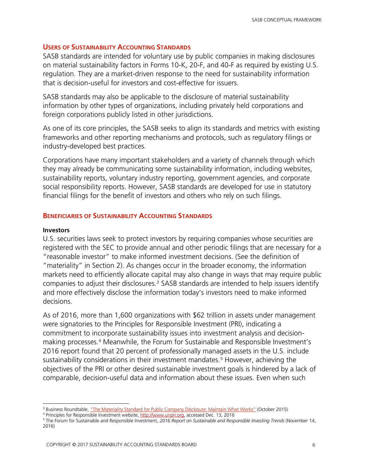#### <span id="page-7-0"></span>**USERS OF SUSTAINABILITY ACCOUNTING STANDARDS**

SASB standards are intended for voluntary use by public companies in making disclosures on material sustainability factors in Forms 10-K, 20-F, and 40-F as required by existing U.S. regulation. They are a market-driven response to the need for sustainability information that is decision-useful for investors and cost-effective for issuers.

SASB standards may also be applicable to the disclosure of material sustainability information by other types of organizations, including privately held corporations and foreign corporations publicly listed in other jurisdictions.

As one of its core principles, the SASB seeks to align its standards and metrics with existing frameworks and other reporting mechanisms and protocols, such as regulatory filings or industry-developed best practices.

Corporations have many important stakeholders and a variety of channels through which they may already be communicating some sustainability information, including websites, sustainability reports, voluntary industry reporting, government agencies, and corporate social responsibility reports. However, SASB standards are developed for use in statutory financial filings for the benefit of investors and others who rely on such filings.

#### <span id="page-7-1"></span>**BENEFICIARIES OF SUSTAINABILITY ACCOUNTING STANDARDS**

#### <span id="page-7-2"></span>**Investors**

 $\overline{a}$ 

U.S. securities laws seek to protect investors by requiring companies whose securities are registered with the SEC to provide annual and other periodic filings that are necessary for a "reasonable investor" to make informed investment decisions. (See the definition of "materiality" in Section 2). As changes occur in the broader economy, the information markets need to efficiently allocate capital may also change in ways that may require public companies to adjust their disclosures.<sup>[3](#page-7-3)</sup> SASB standards are intended to help issuers identify and more effectively disclose the information today's investors need to make informed decisions.

As of 2016, more than 1,600 organizations with \$62 trillion in assets under management were signatories to the Principles for Responsible Investment (PRI), indicating a commitment to incorporate sustainability issues into investment analysis and decisionmaking processes.[4](#page-7-4) Meanwhile, the Forum for Sustainable and Responsible Investment's 2016 report found that 20 percent of professionally managed assets in the U.S. include sustainability considerations in their investment mandates.<sup>[5](#page-7-5)</sup> However, achieving the objectives of the PRI or other desired sustainable investment goals is hindered by a lack of comparable, decision-useful data and information about these issues. Even when such

<sup>&</sup>lt;sup>3</sup> Business Roundtable, <u>"The Materiality Standard for Public Company Disclosure: Maintain What Works" (October 2015)</u>

<span id="page-7-4"></span><span id="page-7-3"></span><sup>4</sup> Principles for Responsible Investment website[, http://www.unpri.org,](http://www.unpri.org/) accessed Dec. 13, 2016

<span id="page-7-5"></span><sup>5</sup> The Forum for Sustainable and Responsible Investment, *2016 Report on Sustainable and Responsible Investing Trends* (November 14, 2016)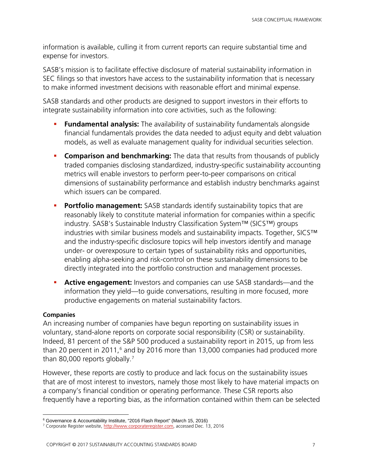information is available, culling it from current reports can require substantial time and expense for investors.

SASB's mission is to facilitate effective disclosure of material sustainability information in SEC filings so that investors have access to the sustainability information that is necessary to make informed investment decisions with reasonable effort and minimal expense.

SASB standards and other products are designed to support investors in their efforts to integrate sustainability information into core activities, such as the following:

- **Fundamental analysis:** The availability of sustainability fundamentals alongside financial fundamentals provides the data needed to adjust equity and debt valuation models, as well as evaluate management quality for individual securities selection.
- **Comparison and benchmarking:** The data that results from thousands of publicly traded companies disclosing standardized, industry-specific sustainability accounting metrics will enable investors to perform peer-to-peer comparisons on critical dimensions of sustainability performance and establish industry benchmarks against which issuers can be compared.
- **Portfolio management:** SASB standards identify sustainability topics that are reasonably likely to constitute material information for companies within a specific industry. SASB's Sustainable Industry Classification System™ (SICS™) groups industries with similar business models and sustainability impacts. Together, SICS™ and the industry-specific disclosure topics will help investors identify and manage under- or overexposure to certain types of sustainability risks and opportunities, enabling alpha-seeking and risk-control on these sustainability dimensions to be directly integrated into the portfolio construction and management processes.
- **Active engagement:** Investors and companies can use SASB standards—and the information they yield—to guide conversations, resulting in more focused, more productive engagements on material sustainability factors.

# <span id="page-8-0"></span>**Companies**

An increasing number of companies have begun reporting on sustainability issues in voluntary, stand-alone reports on corporate social responsibility (CSR) or sustainability. Indeed, 81 percent of the S&P 500 produced a sustainability report in 2015, up from less than 20 percent in 2011, [6](#page-8-1) and by 2016 more than 13,000 companies had produced more than 80,000 reports globally. [7](#page-8-2)

However, these reports are costly to produce and lack focus on the sustainability issues that are of most interest to investors, namely those most likely to have material impacts on a company's financial condition or operating performance. These CSR reports also frequently have a reporting bias, as the information contained within them can be selected

<span id="page-8-1"></span> $\overline{a}$ <sup>6</sup> Governance & Accountability Institute, "2016 Flash Report" (March 15, 2016)

<span id="page-8-2"></span><sup>&</sup>lt;sup>7</sup> Corporate Register website, [http://www.corporateregister.com,](http://www.corporateregister.com/) accessed Dec. 13, 2016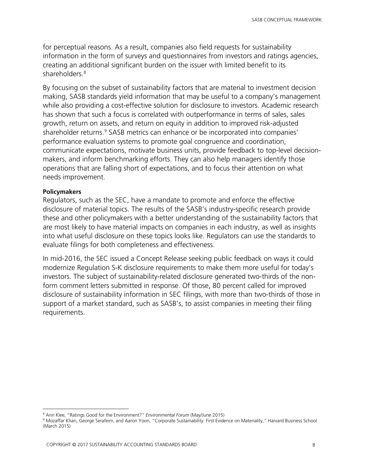for perceptual reasons. As a result, companies also field requests for sustainability information in the form of surveys and questionnaires from investors and ratings agencies, creating an additional significant burden on the issuer with limited benefit to its shareholders. [8](#page-9-1)

By focusing on the subset of sustainability factors that are material to investment decision making, SASB standards yield information that may be useful to a company's management while also providing a cost-effective solution for disclosure to investors. Academic research has shown that such a focus is correlated with outperformance in terms of sales, sales growth, return on assets, and return on equity in addition to improved risk-adjusted shareholder returns.<sup>[9](#page-9-2)</sup> SASB metrics can enhance or be incorporated into companies' performance evaluation systems to promote goal congruence and coordination, communicate expectations, motivate business units, provide feedback to top-level decisionmakers, and inform benchmarking efforts. They can also help managers identify those operations that are falling short of expectations, and to focus their attention on what needs improvement.

#### <span id="page-9-0"></span>**Policymakers**

Regulators, such as the SEC, have a mandate to promote and enforce the effective disclosure of material topics. The results of the SASB's industry-specific research provide these and other policymakers with a better understanding of the sustainability factors that are most likely to have material impacts on companies in each industry, as well as insights into what useful disclosure on these topics looks like. Regulators can use the standards to evaluate filings for both completeness and effectiveness.

In mid-2016, the SEC issued a Concept Release seeking public feedback on ways it could modernize Regulation S-K disclosure requirements to make them more useful for today's investors. The subject of sustainability-related disclosure generated two-thirds of the nonform comment letters submitted in response. Of those, 80 percent called for improved disclosure of sustainability information in SEC filings, with more than two-thirds of those in support of a market standard, such as SASB's, to assist companies in meeting their filing requirements.

 $\overline{a}$ <sup>8</sup> Ann Klee, "Ratings Good for the Environment?" *Environmental Forum* (May/June 2015)

<span id="page-9-2"></span><span id="page-9-1"></span><sup>&</sup>lt;sup>9</sup> Mozaffar Khan, George Serafeim, and Aaron Yoon, "Corporate Sustainability: First Evidence on Materiality," Harvard Business School (March 2015)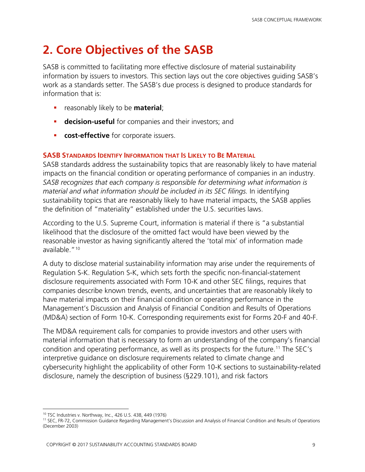# <span id="page-10-0"></span>**2. Core Objectives of the SASB**

SASB is committed to facilitating more effective disclosure of material sustainability information by issuers to investors. This section lays out the core objectives guiding SASB's work as a standards setter. The SASB's due process is designed to produce standards for information that is:

- reasonably likely to be **material**;
- **decision-useful** for companies and their investors; and
- **cost-effective** for corporate issuers.

# <span id="page-10-1"></span>**SASB STANDARDS IDENTIFY INFORMATION THAT IS LIKELY TO BE MATERIAL**

SASB standards address the sustainability topics that are reasonably likely to have material impacts on the financial condition or operating performance of companies in an industry. *SASB recognizes that each company is responsible for determining what information is material and what information should be included in its SEC filings.* In identifying sustainability topics that are reasonably likely to have material impacts, the SASB applies the definition of "materiality" established under the U.S. securities laws.

According to the U.S. Supreme Court, information is material if there is "a substantial likelihood that the disclosure of the omitted fact would have been viewed by the reasonable investor as having significantly altered the 'total mix' of information made available "<sup>[10](#page-10-2)</sup>

A duty to disclose material sustainability information may arise under the requirements of Regulation S-K. Regulation S-K, which sets forth the specific non-financial-statement disclosure requirements associated with Form 10-K and other SEC filings, requires that companies describe known trends, events, and uncertainties that are reasonably likely to have material impacts on their financial condition or operating performance in the Management's Discussion and Analysis of Financial Condition and Results of Operations (MD&A) section of Form 10-K. Corresponding requirements exist for Forms 20-F and 40-F.

The MD&A requirement calls for companies to provide investors and other users with material information that is necessary to form an understanding of the company's financial condition and operating performance, as well as its prospects for the future.<sup>[11](#page-10-3)</sup> The SEC's interpretive guidance on disclosure requirements related to climate change and cybersecurity highlight the applicability of other Form 10-K sections to sustainability-related disclosure, namely the description of business (§229.101), and risk factors

 $\overline{a}$ <sup>10</sup> TSC Industries v. Northway, Inc., 426 U.S. 438, 449 (1976)

<span id="page-10-3"></span><span id="page-10-2"></span><sup>11</sup> SEC, FR-72, Commission Guidance Regarding Management's Discussion and Analysis of Financial Condition and Results of Operations (December 2003)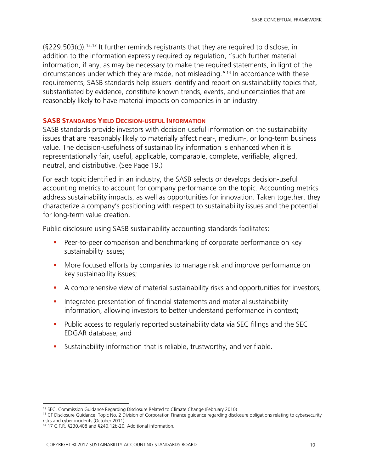$(S229.503(c))$ .<sup>[12](#page-11-1),[13](#page-11-2)</sup> It further reminds registrants that they are required to disclose, in addition to the information expressly required by regulation, "such further material information, if any, as may be necessary to make the required statements, in light of the circumstances under which they are made, not misleading."[14](#page-11-3) In accordance with these requirements, SASB standards help issuers identify and report on sustainability topics that, substantiated by evidence, constitute known trends, events, and uncertainties that are reasonably likely to have material impacts on companies in an industry.

#### <span id="page-11-0"></span>**SASB STANDARDS YIELD DECISION-USEFUL INFORMATION**

SASB standards provide investors with decision-useful information on the sustainability issues that are reasonably likely to materially affect near-, medium-, or long-term business value. The decision-usefulness of sustainability information is enhanced when it is representationally fair, useful, applicable, comparable, complete, verifiable, aligned, neutral, and distributive. (See Page 19.)

For each topic identified in an industry, the SASB selects or develops decision-useful accounting metrics to account for company performance on the topic. Accounting metrics address sustainability impacts, as well as opportunities for innovation. Taken together, they characterize a company's positioning with respect to sustainability issues and the potential for long-term value creation.

Public disclosure using SASB sustainability accounting standards facilitates:

- **Peer-to-peer comparison and benchmarking of corporate performance on key** sustainability issues;
- **More focused efforts by companies to manage risk and improve performance on** key sustainability issues;
- A comprehensive view of material sustainability risks and opportunities for investors;
- **Integrated presentation of financial statements and material sustainability** information, allowing investors to better understand performance in context;
- **Public access to regularly reported sustainability data via SEC filings and the SEC** EDGAR database; and
- Sustainability information that is reliable, trustworthy, and verifiable.

 $\overline{a}$ 

<sup>&</sup>lt;sup>12</sup> SEC, Commission Guidance Regarding Disclosure Related to Climate Change (February 2010)

<span id="page-11-2"></span><span id="page-11-1"></span><sup>&</sup>lt;sup>13</sup> CF Disclosure Guidance: Topic No. 2 Division of Corporation Finance guidance regarding disclosure obligations relating to cybersecurity risks and cyber incidents (October 2011)

<span id="page-11-3"></span><sup>14</sup> 17 C.F.R. §230.408 and §240.12b-20, Additional information.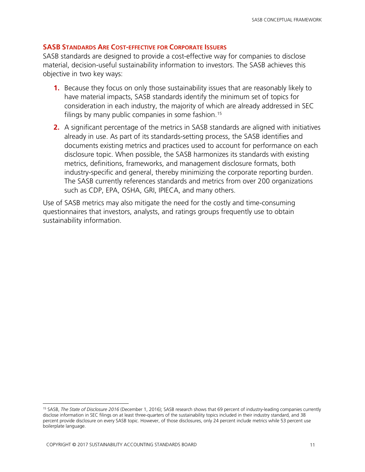### <span id="page-12-0"></span>**SASB STANDARDS ARE COST-EFFECTIVE FOR CORPORATE ISSUERS**

SASB standards are designed to provide a cost-effective way for companies to disclose material, decision-useful sustainability information to investors. The SASB achieves this objective in two key ways:

- **1.** Because they focus on only those sustainability issues that are reasonably likely to have material impacts, SASB standards identify the minimum set of topics for consideration in each industry, the majority of which are already addressed in SEC filings by many public companies in some fashion. [15](#page-12-1)
- **2.** A significant percentage of the metrics in SASB standards are aligned with initiatives already in use. As part of its standards-setting process, the SASB identifies and documents existing metrics and practices used to account for performance on each disclosure topic. When possible, the SASB harmonizes its standards with existing metrics, definitions, frameworks, and management disclosure formats, both industry-specific and general, thereby minimizing the corporate reporting burden. The SASB currently references standards and metrics from over 200 organizations such as CDP, EPA, OSHA, GRI, IPIECA, and many others.

Use of SASB metrics may also mitigate the need for the costly and time-consuming questionnaires that investors, analysts, and ratings groups frequently use to obtain sustainability information.

<span id="page-12-1"></span> $\overline{a}$ <sup>15</sup> SASB, *The State of Disclosure 2016* (December 1, 2016); SASB research shows that 69 percent of industry-leading companies currently disclose information in SEC filings on at least three-quarters of the sustainability topics included in their industry standard, and 38 percent provide disclosure on every SASB topic. However, of those disclosures, only 24 percent include metrics while 53 percent use boilerplate language.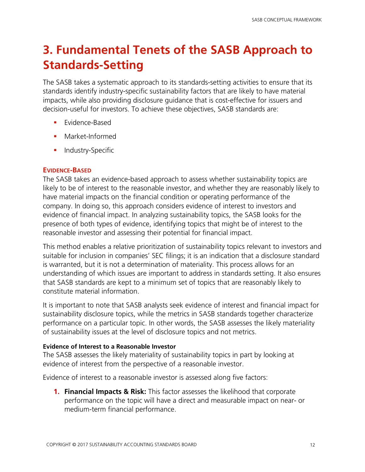# <span id="page-13-0"></span>**3. Fundamental Tenets of the SASB Approach to Standards-Setting**

The SASB takes a systematic approach to its standards-setting activities to ensure that its standards identify industry-specific sustainability factors that are likely to have material impacts, while also providing disclosure guidance that is cost-effective for issuers and decision-useful for investors. To achieve these objectives, SASB standards are:

- **Exidence-Based**
- Market-Informed
- **Industry-Specific**

# <span id="page-13-1"></span>**EVIDENCE-BASED**

The SASB takes an evidence-based approach to assess whether sustainability topics are likely to be of interest to the reasonable investor, and whether they are reasonably likely to have material impacts on the financial condition or operating performance of the company. In doing so, this approach considers evidence of interest to investors and evidence of financial impact. In analyzing sustainability topics, the SASB looks for the presence of both types of evidence, identifying topics that might be of interest to the reasonable investor and assessing their potential for financial impact.

This method enables a relative prioritization of sustainability topics relevant to investors and suitable for inclusion in companies' SEC filings; it is an indication that a disclosure standard is warranted, but it is not a determination of materiality. This process allows for an understanding of which issues are important to address in standards setting. It also ensures that SASB standards are kept to a minimum set of topics that are reasonably likely to constitute material information.

It is important to note that SASB analysts seek evidence of interest and financial impact for sustainability disclosure topics, while the metrics in SASB standards together characterize performance on a particular topic. In other words, the SASB assesses the likely materiality of sustainability issues at the level of disclosure topics and not metrics.

# <span id="page-13-2"></span>**Evidence of Interest to a Reasonable Investor**

The SASB assesses the likely materiality of sustainability topics in part by looking at evidence of interest from the perspective of a reasonable investor.

Evidence of interest to a reasonable investor is assessed along five factors:

**1. Financial Impacts & Risk:** This factor assesses the likelihood that corporate performance on the topic will have a direct and measurable impact on near- or medium-term financial performance.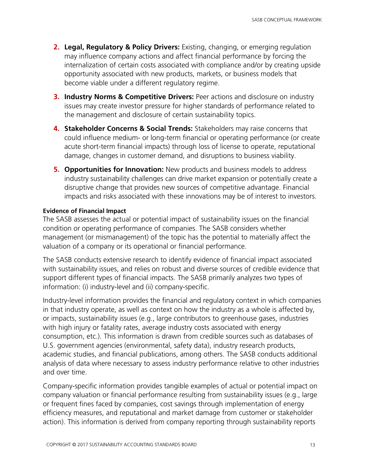- **2. Legal, Regulatory & Policy Drivers:** Existing, changing, or emerging regulation may influence company actions and affect financial performance by forcing the internalization of certain costs associated with compliance and/or by creating upside opportunity associated with new products, markets, or business models that become viable under a different regulatory regime.
- **3. Industry Norms & Competitive Drivers:** Peer actions and disclosure on industry issues may create investor pressure for higher standards of performance related to the management and disclosure of certain sustainability topics.
- **4. Stakeholder Concerns & Social Trends:** Stakeholders may raise concerns that could influence medium- or long-term financial or operating performance (or create acute short-term financial impacts) through loss of license to operate, reputational damage, changes in customer demand, and disruptions to business viability.
- **5. Opportunities for Innovation:** New products and business models to address industry sustainability challenges can drive market expansion or potentially create a disruptive change that provides new sources of competitive advantage. Financial impacts and risks associated with these innovations may be of interest to investors.

#### <span id="page-14-0"></span>**Evidence of Financial Impact**

The SASB assesses the actual or potential impact of sustainability issues on the financial condition or operating performance of companies. The SASB considers whether management (or mismanagement) of the topic has the potential to materially affect the valuation of a company or its operational or financial performance.

The SASB conducts extensive research to identify evidence of financial impact associated with sustainability issues, and relies on robust and diverse sources of credible evidence that support different types of financial impacts. The SASB primarily analyzes two types of information: (i) industry-level and (ii) company-specific.

Industry-level information provides the financial and regulatory context in which companies in that industry operate, as well as context on how the industry as a whole is affected by, or impacts, sustainability issues (e.g., large contributors to greenhouse gases, industries with high injury or fatality rates, average industry costs associated with energy consumption, etc.). This information is drawn from credible sources such as databases of U.S. government agencies (environmental, safety data), industry research products, academic studies, and financial publications, among others. The SASB conducts additional analysis of data where necessary to assess industry performance relative to other industries and over time.

Company-specific information provides tangible examples of actual or potential impact on company valuation or financial performance resulting from sustainability issues (e.g., large or frequent fines faced by companies, cost savings through implementation of energy efficiency measures, and reputational and market damage from customer or stakeholder action). This information is derived from company reporting through sustainability reports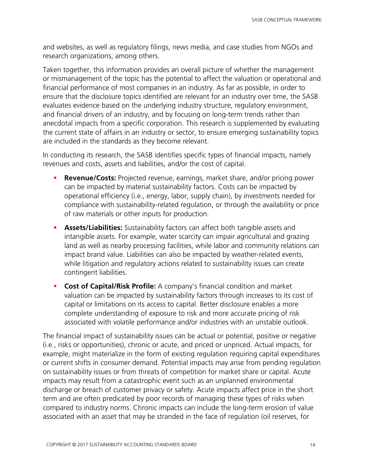and websites, as well as regulatory filings, news media, and case studies from NGOs and research organizations, among others.

Taken together, this information provides an overall picture of whether the management or mismanagement of the topic has the potential to affect the valuation or operational and financial performance of most companies in an industry. As far as possible, in order to ensure that the disclosure topics identified are relevant for an industry over time, the SASB evaluates evidence based on the underlying industry structure, regulatory environment, and financial drivers of an industry, and by focusing on long-term trends rather than anecdotal impacts from a specific corporation. This research is supplemented by evaluating the current state of affairs in an industry or sector, to ensure emerging sustainability topics are included in the standards as they become relevant.

In conducting its research, the SASB identifies specific types of financial impacts, namely revenues and costs, assets and liabilities, and/or the cost of capital.

- **Revenue/Costs:** Projected revenue, earnings, market share, and/or pricing power can be impacted by material sustainability factors. Costs can be impacted by operational efficiency (i.e., energy, labor, supply chain), by investments needed for compliance with sustainability-related regulation, or through the availability or price of raw materials or other inputs for production.
- **Assets/Liabilities:** Sustainability factors can affect both tangible assets and intangible assets. For example, water scarcity can impair agricultural and grazing land as well as nearby processing facilities, while labor and community relations can impact brand value. Liabilities can also be impacted by weather-related events, while litigation and regulatory actions related to sustainability issues can create contingent liabilities.
- **Cost of Capital/Risk Profile:** A company's financial condition and market valuation can be impacted by sustainability factors through increases to its cost of capital or limitations on its access to capital. Better disclosure enables a more complete understanding of exposure to risk and more accurate pricing of risk associated with volatile performance and/or industries with an unstable outlook.

The financial impact of sustainability issues can be actual or potential, positive or negative (i.e., risks or opportunities), chronic or acute, and priced or unpriced. Actual impacts, for example, might materialize in the form of existing regulation requiring capital expenditures or current shifts in consumer demand. Potential impacts may arise from pending regulation on sustainability issues or from threats of competition for market share or capital. Acute impacts may result from a catastrophic event such as an unplanned environmental discharge or breach of customer privacy or safety. Acute impacts affect price in the short term and are often predicated by poor records of managing these types of risks when compared to industry norms. Chronic impacts can include the long-term erosion of value associated with an asset that may be stranded in the face of regulation (oil reserves, for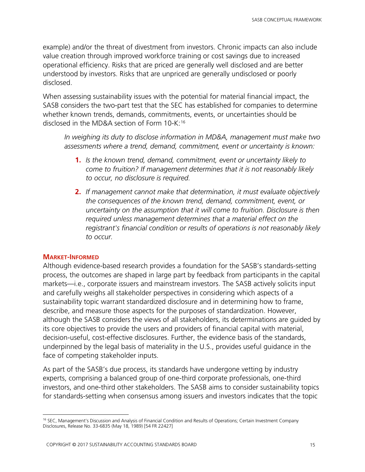example) and/or the threat of divestment from investors. Chronic impacts can also include value creation through improved workforce training or cost savings due to increased operational efficiency. Risks that are priced are generally well disclosed and are better understood by investors. Risks that are unpriced are generally undisclosed or poorly disclosed.

When assessing sustainability issues with the potential for material financial impact, the SASB considers the two-part test that the SEC has established for companies to determine whether known trends, demands, commitments, events, or uncertainties should be disclosed in the MD&A section of Form 10-K: [16](#page-16-1)

*In weighing its duty to disclose information in MD&A, management must make two assessments where a trend, demand, commitment, event or uncertainty is known:* 

- **1.** *Is the known trend, demand, commitment, event or uncertainty likely to come to fruition? If management determines that it is not reasonably likely to occur, no disclosure is required.*
- **2.** *If management cannot make that determination, it must evaluate objectively the consequences of the known trend, demand, commitment, event, or uncertainty on the assumption that it will come to fruition. Disclosure is then required unless management determines that a material effect on the registrant's financial condition or results of operations is not reasonably likely to occur.*

#### <span id="page-16-0"></span>**MARKET-INFORMED**

Although evidence-based research provides a foundation for the SASB's standards-setting process, the outcomes are shaped in large part by feedback from participants in the capital markets—i.e., corporate issuers and mainstream investors. The SASB actively solicits input and carefully weighs all stakeholder perspectives in considering which aspects of a sustainability topic warrant standardized disclosure and in determining how to frame, describe, and measure those aspects for the purposes of standardization. However, although the SASB considers the views of all stakeholders, its determinations are guided by its core objectives to provide the users and providers of financial capital with material, decision-useful, cost-effective disclosures. Further, the evidence basis of the standards, underpinned by the legal basis of materiality in the U.S., provides useful guidance in the face of competing stakeholder inputs.

As part of the SASB's due process, its standards have undergone vetting by industry experts, comprising a balanced group of one-third corporate professionals, one-third investors, and one-third other stakeholders. The SASB aims to consider sustainability topics for standards-setting when consensus among issuers and investors indicates that the topic

<span id="page-16-1"></span> $\overline{a}$ <sup>16</sup> SEC, Management's Discussion and Analysis of Financial Condition and Results of Operations; Certain Investment Company Disclosures, Release No. 33-6835 (May 18, 1989) [54 FR 22427]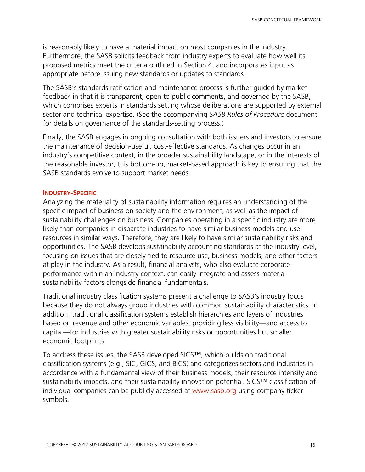is reasonably likely to have a material impact on most companies in the industry. Furthermore, the SASB solicits feedback from industry experts to evaluate how well its proposed metrics meet the criteria outlined in Section 4, and incorporates input as appropriate before issuing new standards or updates to standards.

The SASB's standards ratification and maintenance process is further guided by market feedback in that it is transparent, open to public comments, and governed by the SASB, which comprises experts in standards setting whose deliberations are supported by external sector and technical expertise. (See the accompanying *SASB Rules of Procedure* document for details on governance of the standards-setting process.)

Finally, the SASB engages in ongoing consultation with both issuers and investors to ensure the maintenance of decision-useful, cost-effective standards. As changes occur in an industry's competitive context, in the broader sustainability landscape, or in the interests of the reasonable investor, this bottom-up, market-based approach is key to ensuring that the SASB standards evolve to support market needs.

#### <span id="page-17-0"></span>**INDUSTRY-SPECIFIC**

Analyzing the materiality of sustainability information requires an understanding of the specific impact of business on society and the environment, as well as the impact of sustainability challenges on business. Companies operating in a specific industry are more likely than companies in disparate industries to have similar business models and use resources in similar ways. Therefore, they are likely to have similar sustainability risks and opportunities. The SASB develops sustainability accounting standards at the industry level, focusing on issues that are closely tied to resource use, business models, and other factors at play in the industry. As a result, financial analysts, who also evaluate corporate performance within an industry context, can easily integrate and assess material sustainability factors alongside financial fundamentals.

Traditional industry classification systems present a challenge to SASB's industry focus because they do not always group industries with common sustainability characteristics. In addition, traditional classification systems establish hierarchies and layers of industries based on revenue and other economic variables, providing less visibility—and access to capital—for industries with greater sustainability risks or opportunities but smaller economic footprints.

To address these issues, the SASB developed SICS™, which builds on traditional classification systems (e.g., SIC, GICS, and BICS) and categorizes sectors and industries in accordance with a fundamental view of their business models, their resource intensity and sustainability impacts, and their sustainability innovation potential. SICS™ classification of individual companies can be publicly accessed at [www.sasb.org](http://www.sasb.org/) using company ticker symbols.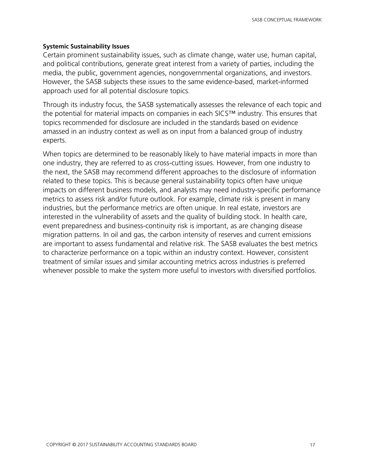#### <span id="page-18-0"></span>**Systemic Sustainability Issues**

Certain prominent sustainability issues, such as climate change, water use, human capital, and political contributions, generate great interest from a variety of parties, including the media, the public, government agencies, nongovernmental organizations, and investors. However, the SASB subjects these issues to the same evidence-based, market-informed approach used for all potential disclosure topics.

Through its industry focus, the SASB systematically assesses the relevance of each topic and the potential for material impacts on companies in each SICS™ industry. This ensures that topics recommended for disclosure are included in the standards based on evidence amassed in an industry context as well as on input from a balanced group of industry experts.

When topics are determined to be reasonably likely to have material impacts in more than one industry, they are referred to as cross-cutting issues. However, from one industry to the next, the SASB may recommend different approaches to the disclosure of information related to these topics. This is because general sustainability topics often have unique impacts on different business models, and analysts may need industry-specific performance metrics to assess risk and/or future outlook. For example, climate risk is present in many industries, but the performance metrics are often unique. In real estate, investors are interested in the vulnerability of assets and the quality of building stock. In health care, event preparedness and business-continuity risk is important, as are changing disease migration patterns. In oil and gas, the carbon intensity of reserves and current emissions are important to assess fundamental and relative risk. The SASB evaluates the best metrics to characterize performance on a topic within an industry context. However, consistent treatment of similar issues and similar accounting metrics across industries is preferred whenever possible to make the system more useful to investors with diversified portfolios.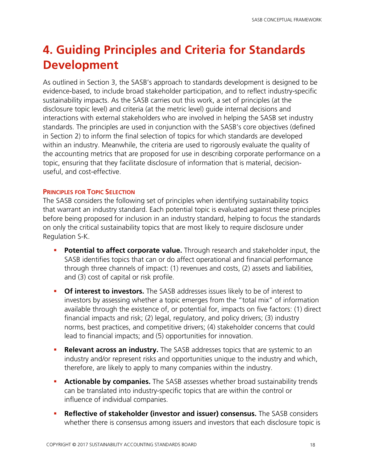# <span id="page-19-0"></span>**4. Guiding Principles and Criteria for Standards Development**

As outlined in Section 3, the SASB's approach to standards development is designed to be evidence-based, to include broad stakeholder participation, and to reflect industry-specific sustainability impacts. As the SASB carries out this work, a set of principles (at the disclosure topic level) and criteria (at the metric level) guide internal decisions and interactions with external stakeholders who are involved in helping the SASB set industry standards. The principles are used in conjunction with the SASB's core objectives (defined in Section 2) to inform the final selection of topics for which standards are developed within an industry. Meanwhile, the criteria are used to rigorously evaluate the quality of the accounting metrics that are proposed for use in describing corporate performance on a topic, ensuring that they facilitate disclosure of information that is material, decisionuseful, and cost-effective.

### <span id="page-19-1"></span>**PRINCIPLES FOR TOPIC SELECTION**

The SASB considers the following set of principles when identifying sustainability topics that warrant an industry standard. Each potential topic is evaluated against these principles before being proposed for inclusion in an industry standard, helping to focus the standards on only the critical sustainability topics that are most likely to require disclosure under Regulation S-K.

- **Potential to affect corporate value.** Through research and stakeholder input, the SASB identifies topics that can or do affect operational and financial performance through three channels of impact: (1) revenues and costs, (2) assets and liabilities, and (3) cost of capital or risk profile.
- **Of interest to investors.** The SASB addresses issues likely to be of interest to investors by assessing whether a topic emerges from the "total mix" of information available through the existence of, or potential for, impacts on five factors: (1) direct financial impacts and risk; (2) legal, regulatory, and policy drivers; (3) industry norms, best practices, and competitive drivers; (4) stakeholder concerns that could lead to financial impacts; and (5) opportunities for innovation.
- **Relevant across an industry.** The SASB addresses topics that are systemic to an industry and/or represent risks and opportunities unique to the industry and which, therefore, are likely to apply to many companies within the industry.
- **Actionable by companies.** The SASB assesses whether broad sustainability trends can be translated into industry-specific topics that are within the control or influence of individual companies.
- **Reflective of stakeholder (investor and issuer) consensus.** The SASB considers whether there is consensus among issuers and investors that each disclosure topic is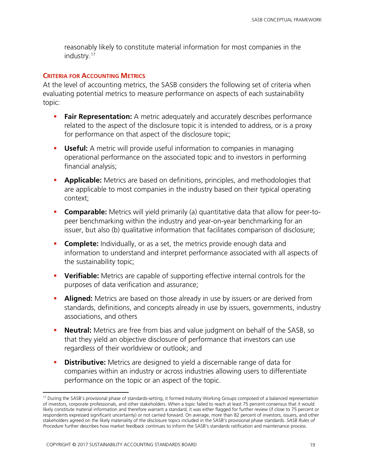reasonably likely to constitute material information for most companies in the industry.[17](#page-20-1)

### <span id="page-20-0"></span>**CRITERIA FOR ACCOUNTING METRICS**

At the level of accounting metrics, the SASB considers the following set of criteria when evaluating potential metrics to measure performance on aspects of each sustainability topic:

- **Fair Representation:** A metric adequately and accurately describes performance related to the aspect of the disclosure topic it is intended to address, or is a proxy for performance on that aspect of the disclosure topic;
- **Useful:** A metric will provide useful information to companies in managing operational performance on the associated topic and to investors in performing financial analysis;
- **Applicable:** Metrics are based on definitions, principles, and methodologies that are applicable to most companies in the industry based on their typical operating context;
- **Comparable:** Metrics will yield primarily (a) quantitative data that allow for peer-topeer benchmarking within the industry and year-on-year benchmarking for an issuer, but also (b) qualitative information that facilitates comparison of disclosure;
- **Complete:** Individually, or as a set, the metrics provide enough data and information to understand and interpret performance associated with all aspects of the sustainability topic;
- **Verifiable:** Metrics are capable of supporting effective internal controls for the purposes of data verification and assurance;
- **Aligned:** Metrics are based on those already in use by issuers or are derived from standards, definitions, and concepts already in use by issuers, governments, industry associations, and others
- **Neutral:** Metrics are free from bias and value judgment on behalf of the SASB, so that they yield an objective disclosure of performance that investors can use regardless of their worldview or outlook; and
- **Distributive:** Metrics are designed to yield a discernable range of data for companies within an industry or across industries allowing users to differentiate performance on the topic or an aspect of the topic.

 $\overline{a}$ 

<span id="page-20-1"></span><sup>&</sup>lt;sup>17</sup> During the SASB's provisional phase of standards-setting, it formed Industry Working Groups composed of a balanced representation of investors, corporate professionals, and other stakeholders. When a topic failed to reach at least 75 percent consensus that it would likely constitute material information and therefore warrant a standard, it was either flagged for further review (if close to 75 percent or respondents expressed significant uncertainty) or not carried forward. On average, more than 82 percent of investors, issuers, and other stakeholders agreed on the likely materiality of the disclosure topics included in the SASB's provisional phase standards. *SASB Rules of Procedure* further describes how market feedback continues to inform the SASB's standards ratification and maintenance process.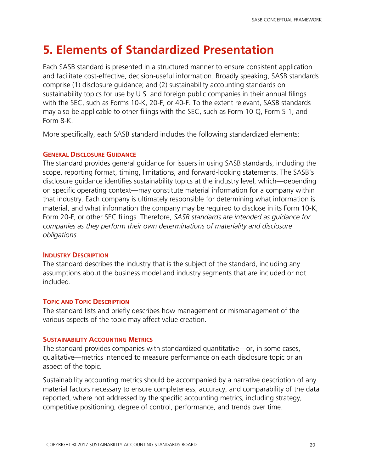# <span id="page-21-0"></span>**5. Elements of Standardized Presentation**

Each SASB standard is presented in a structured manner to ensure consistent application and facilitate cost-effective, decision-useful information. Broadly speaking, SASB standards comprise (1) disclosure guidance; and (2) sustainability accounting standards on sustainability topics for use by U.S. and foreign public companies in their annual filings with the SEC, such as Forms 10-K, 20-F, or 40-F. To the extent relevant, SASB standards may also be applicable to other filings with the SEC, such as Form 10-Q, Form S-1, and Form 8-K.

More specifically, each SASB standard includes the following standardized elements:

# <span id="page-21-1"></span>**GENERAL DISCLOSURE GUIDANCE**

The standard provides general guidance for issuers in using SASB standards, including the scope, reporting format, timing, limitations, and forward-looking statements. The SASB's disclosure guidance identifies sustainability topics at the industry level, which—depending on specific operating context—may constitute material information for a company within that industry. Each company is ultimately responsible for determining what information is material, and what information the company may be required to disclose in its Form 10-K, Form 20-F, or other SEC filings. Therefore, *SASB standards are intended as guidance for companies as they perform their own determinations of materiality and disclosure obligations.*

# <span id="page-21-2"></span>**INDUSTRY DESCRIPTION**

The standard describes the industry that is the subject of the standard, including any assumptions about the business model and industry segments that are included or not included.

# <span id="page-21-3"></span>**TOPIC AND TOPIC DESCRIPTION**

The standard lists and briefly describes how management or mismanagement of the various aspects of the topic may affect value creation.

#### <span id="page-21-4"></span>**SUSTAINABILITY ACCOUNTING METRICS**

The standard provides companies with standardized quantitative—or, in some cases, qualitative—metrics intended to measure performance on each disclosure topic or an aspect of the topic.

Sustainability accounting metrics should be accompanied by a narrative description of any material factors necessary to ensure completeness, accuracy, and comparability of the data reported, where not addressed by the specific accounting metrics, including strategy, competitive positioning, degree of control, performance, and trends over time.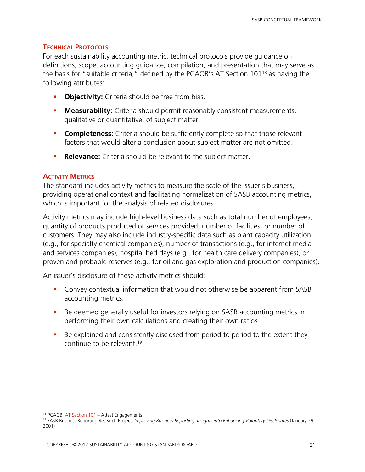# <span id="page-22-0"></span>**TECHNICAL PROTOCOLS**

For each sustainability accounting metric, technical protocols provide guidance on definitions, scope, accounting guidance, compilation, and presentation that may serve as the basis for "suitable criteria," defined by the PCAOB's AT Section 101[18](#page-22-2) as having the following attributes:

- **-** Objectivity: Criteria should be free from bias.
- **Measurability:** Criteria should permit reasonably consistent measurements, qualitative or quantitative, of subject matter.
- **Completeness:** Criteria should be sufficiently complete so that those relevant factors that would alter a conclusion about subject matter are not omitted.
- **Relevance:** Criteria should be relevant to the subject matter.

# <span id="page-22-1"></span>**ACTIVITY METRICS**

The standard includes activity metrics to measure the scale of the issuer's business, providing operational context and facilitating normalization of SASB accounting metrics, which is important for the analysis of related disclosures.

Activity metrics may include high-level business data such as total number of employees, quantity of products produced or services provided, number of facilities, or number of customers. They may also include industry-specific data such as plant capacity utilization (e.g., for specialty chemical companies), number of transactions (e.g., for internet media and services companies), hospital bed days (e.g., for health care delivery companies), or proven and probable reserves (e.g., for oil and gas exploration and production companies).

An issuer's disclosure of these activity metrics should:

- Convey contextual information that would not otherwise be apparent from SASB accounting metrics.
- Be deemed generally useful for investors relying on SASB accounting metrics in performing their own calculations and creating their own ratios.
- Be explained and consistently disclosed from period to period to the extent they continue to be relevant.[19](#page-23-1)

 $\overline{a}$ <sup>18</sup> PCAOB[, AT Section 101](http://pcaobus.org/Standards/Attestation/Pages/AT101.aspx) – Attest Engagements

<span id="page-22-2"></span><sup>19</sup> FASB Business Reporting Research Project, *Improving Business Reporting: Insights into Enhancing Voluntary Disclosures* (January 29, 2001)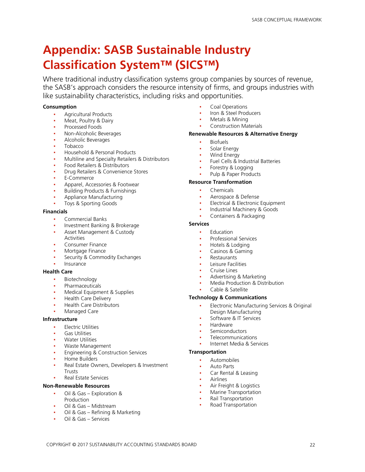# <span id="page-23-0"></span>**Appendix: SASB Sustainable Industry Classification System™ (SICS™)**

Where traditional industry classification systems group companies by sources of revenue, the SASB's approach considers the resource intensity of firms, and groups industries with like sustainability characteristics, including risks and opportunities.

#### **Consumption**

- **Agricultural Products**
- Meat, Poultry & Dairy
- Processed Foods
- Non-Alcoholic Beverages
- Alcoholic Beverages
- **Tobacco**
- Household & Personal Products
- Multiline and Specialty Retailers & Distributors
- Food Retailers & Distributors
- Drug Retailers & Convenience Stores
- E-Commerce
- Apparel, Accessories & Footwear
- **Building Products & Furnishings**
- Appliance Manufacturing
- Toys & Sporting Goods

#### **Financials**

- Commercial Banks
- Investment Banking & Brokerage
- Asset Management & Custody
- **Activities**
- Consumer Finance
- Mortgage Finance
- Security & Commodity Exchanges
- **Insurance**

#### **Health Care**

- Biotechnology
- Pharmaceuticals
- Medical Equipment & Supplies
- **Health Care Delivery**
- **Health Care Distributors**
- Managed Care

#### **Infrastructure**

- **Electric Utilities**
- **Gas Utilities**
- Water Utilities
- Waste Management
- **Engineering & Construction Services**
- Home Builders
- Real Estate Owners, Developers & Investment Trusts
- **Real Estate Services**

#### **Non-Renewable Resources**

- Oil & Gas Exploration & Production
- Oil & Gas Midstream
- Oil & Gas Refining & Marketing
- <span id="page-23-1"></span>▪ Oil & Gas – Services
- Coal Operations
- Iron & Steel Producers
- Metals & Mining
- **Construction Materials**

#### **Renewable Resources & Alternative Energy**

- **Biofuels**
- Solar Energy
- **Wind Energy**
- Fuel Cells & Industrial Batteries
- Forestry & Logging
- Pulp & Paper Products

#### **Resource Transformation**

- **Chemicals**
- Aerospace & Defense
- Electrical & Electronic Equipment
- Industrial Machinery & Goods
- Containers & Packaging

#### **Services**

- **Education** 
	- Professional Services
	- Hotels & Lodging
	- Casinos & Gaming
- **Restaurants**
- **Leisure Facilities**
- **Cruise Lines**
- Advertising & Marketing
- Media Production & Distribution
- Cable & Satellite

#### **Technology & Communications**

- Electronic Manufacturing Services & Original Design Manufacturing
- Software & IT Services
- **Hardware**
- Semiconductors
- **Telecommunications**
- Internet Media & Services

#### **Transportation**

- **Automobiles**
- **Auto Parts**
- Car Rental & Leasing
- **Airlines**
- Air Freight & Logistics
- Marine Transportation
- **Rail Transportation**
- **Road Transportation**